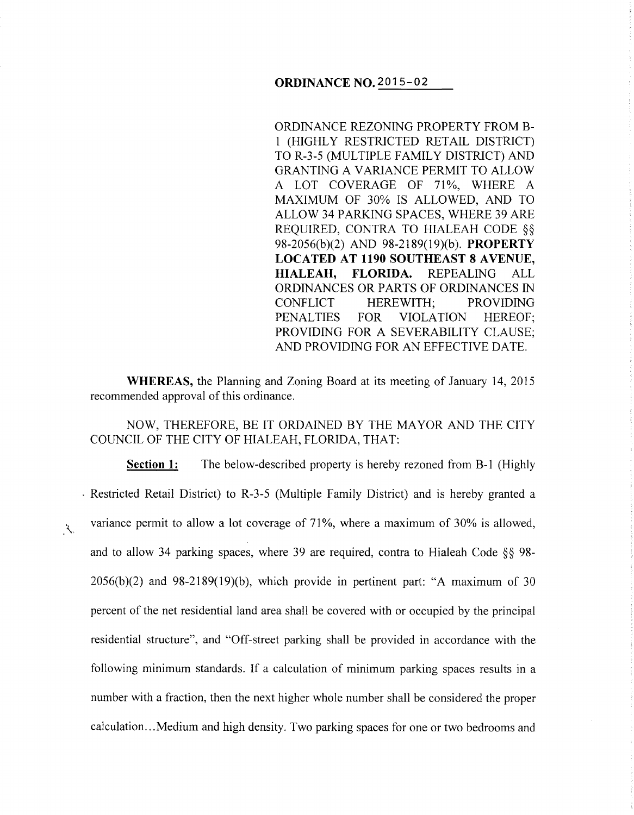## **ORDINANCE NO.** 2015-02

ORDINANCE REZONING PROPERTY FROM B-1 (HIGHLY RESTRICTED RETAIL DISTRICT) TO R-3-5 (MULTIPLE FAMILY DISTRICT) AND GRANTING A VARIANCE PERMIT TO ALLOW A LOT COVERAGE OF 71%, WHERE A MAXIMUM OF 30% IS ALLOWED, AND TO ALLOW 34 PARKING SPACES, WHERE 39 ARE REQUIRED, CONTRA TO HIALEAH CODE §§ 98-2056(b )(2) AND 98-2189(19)(b ). **PROPERTY LOCATED AT 1190 SOUTHEAST 8 AVENUE, HIALEAH, FLORIDA.** REPEALING ALL ORDINANCES OR PARTS OF ORDINANCES IN CONFLICT HEREWITH; PROVIDING PENALTIES FOR VIOLATION HEREOF; PROVIDING FOR A SEVERABILITY CLAUSE; AND PROVIDING FOR AN EFFECTIVE DATE.

**WHEREAS,** the Planning and Zoning Board at its meeting of January 14, 2015 recommended approval of this ordinance.

NOW, THEREFORE, BE IT ORDAINED BY THE MAYOR AND THE CITY COUNCIL OF THE CITY OF HIALEAH, FLORIDA, THAT:

**Section 1:** The below-described property is hereby rezoned from B-1 (Highly . Restricted Retail District) to R-3-5 (Multiple Family District) and is hereby granted a variance permit to allow a lot coverage of 71%, where a maximum of 30% is allowed,  $\mathcal{R}_{\mathbf{q}_L}$ and to allow 34 parking spaces, where 39 are required, contra to Hialeah Code §§ 98-  $2056(b)(2)$  and  $98-2189(19)(b)$ , which provide in pertinent part: "A maximum of 30 percent of the net residential land area shall be covered with or occupied by the principal residential structure", and "Off-street parking shall be provided in accordance with the following minimum standards. If a calculation of minimum parking spaces results in a number with a fraction, then the next higher whole number shall be considered the proper calculation ... Medium and high density. Two parking spaces for one or two bedrooms and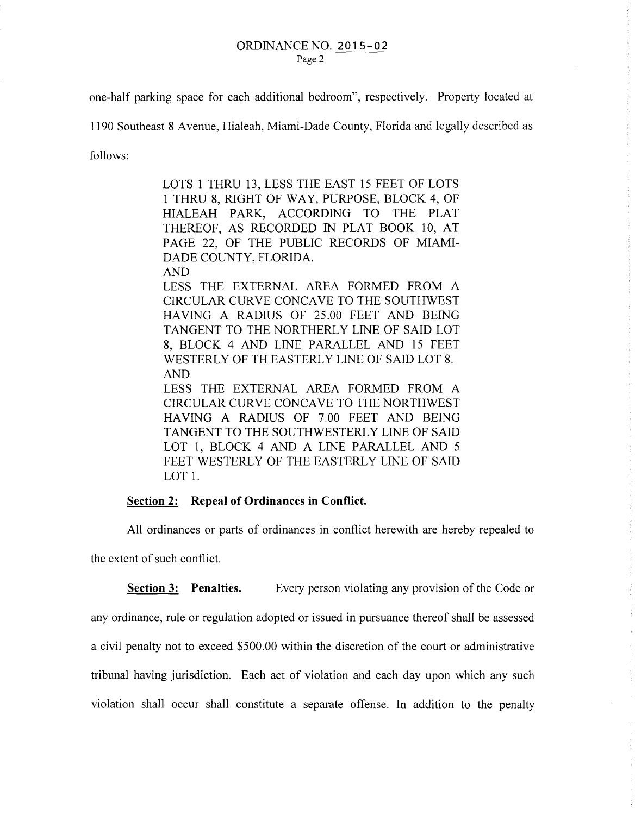one-half parking space for each additional bedroom", respectively. Property located at

1190 Southeast 8 A venue, Hialeah, Miami-Dade County, Florida and legally described as

follows:

LOTS 1 THRU 13, LESS THE EAST 15 FEET OF LOTS 1 THRU 8, RIGHT OF WAY, PURPOSE, BLOCK 4, OF HIALEAH PARK, ACCORDING TO THE PLAT THEREOF, AS RECORDED IN PLAT BOOK 10, AT PAGE 22, OF THE PUBLIC RECORDS OF MIAMI-DADE COUNTY, FLORIDA.

AND

LESS THE EXTERNAL AREA FORMED FROM A CIRCULAR CURVE CONCAVE TO THE SOUTHWEST HAVING A RADIUS OF 25.00 FEET AND BEING TANGENT TO THE NORTHERLY LINE OF SAID LOT 8, BLOCK 4 AND LINE PARALLEL AND 15 FEET WESTERLY OF TH EASTERLY LINE OF SAID LOT 8. AND

LESS THE EXTERNAL AREA FORMED FROM A CIRCULAR CURVE CONCAVE TO THE NORTHWEST HAVING A RADIUS OF 7.00 FEET AND BEING TANGENT TO THE SOUTHWESTERLY LINE OF SAID LOT 1, BLOCK 4 AND A LINE PARALLEL AND 5 FEET WESTERLY OF THE EASTERLY LINE OF SAID LOT 1.

## **Section 2: Repeal of Ordinances in Conflict.**

All ordinances or parts of ordinances in conflict herewith are hereby repealed to

the extent of such conflict.

**Section 3:** Penalties. Every person violating any provision of the Code or any ordinance, rule or regulation adopted or issued in pursuance thereof shall be assessed a civil penalty not to exceed \$500.00 within the discretion of the court or administrative tribunal having jurisdiction. Each act of violation and each day upon which any such violation shall occur shall constitute a separate offense. In addition to the penalty